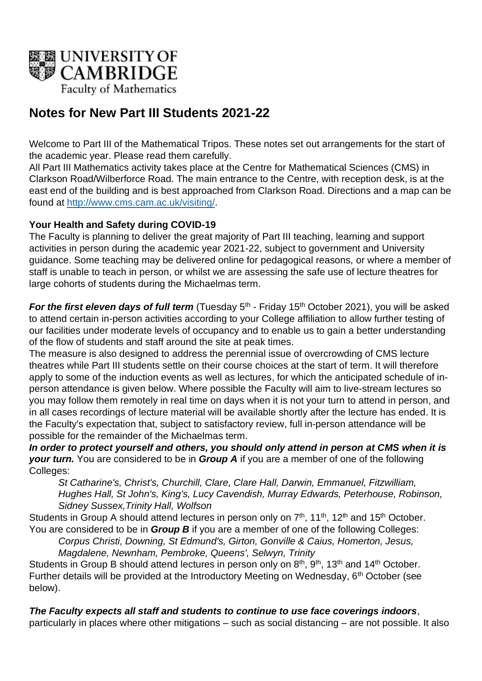

# **Notes for New Part III Students 2021-22**

Welcome to Part III of the Mathematical Tripos. These notes set out arrangements for the start of the academic year. Please read them carefully.

All Part III Mathematics activity takes place at the Centre for Mathematical Sciences (CMS) in Clarkson Road/Wilberforce Road. The main entrance to the Centre, with reception desk, is at the east end of the building and is best approached from Clarkson Road. Directions and a map can be found at [http://www.cms.cam.ac.uk/visiting/.](http://www.cms.cam.ac.uk/visiting/)

## **Your Health and Safety during COVID-19**

The Faculty is planning to deliver the great majority of Part III teaching, learning and support activities in person during the academic year 2021-22, subject to government and University guidance. Some teaching may be delivered online for pedagogical reasons, or where a member of staff is unable to teach in person, or whilst we are assessing the safe use of lecture theatres for large cohorts of students during the Michaelmas term.

For the first eleven days of full term (Tuesday 5<sup>th</sup> - Friday 15<sup>th</sup> October 2021), you will be asked to attend certain in-person activities according to your College affiliation to allow further testing of our facilities under moderate levels of occupancy and to enable us to gain a better understanding of the flow of students and staff around the site at peak times.

The measure is also designed to address the perennial issue of overcrowding of CMS lecture theatres while Part III students settle on their course choices at the start of term. It will therefore apply to some of the induction events as well as lectures, for which the anticipated schedule of inperson attendance is given below. Where possible the Faculty will aim to live-stream lectures so you may follow them remotely in real time on days when it is not your turn to attend in person, and in all cases recordings of lecture material will be available shortly after the lecture has ended. It is the Faculty's expectation that, subject to satisfactory review, full in-person attendance will be possible for the remainder of the Michaelmas term.

*In order to protect yourself and others, you should only attend in person at CMS when it is your turn.* You are considered to be in *Group A* if you are a member of one of the following Colleges:

*St Catharine's, Christ's, Churchill, Clare, Clare Hall, Darwin, Emmanuel, Fitzwilliam, Hughes Hall, St John's, King's, Lucy Cavendish, Murray Edwards, Peterhouse, Robinson, Sidney Sussex,Trinity Hall, Wolfson*

Students in Group A should attend lectures in person only on 7<sup>th</sup>, 11<sup>th</sup>, 12<sup>th</sup> and 15<sup>th</sup> October. You are considered to be in *Group B* if you are a member of one of the following Colleges:

*Corpus Christi, Downing, St Edmund's, Girton, Gonville & Caius, Homerton, Jesus, Magdalene, Newnham, Pembroke, Queens', Selwyn, Trinity*

Students in Group B should attend lectures in person only on 8<sup>th</sup>, 9<sup>th</sup>, 13<sup>th</sup> and 14<sup>th</sup> October. Further details will be provided at the Introductory Meeting on Wednesday, 6<sup>th</sup> October (see below).

*The Faculty expects all staff and students to continue to use face coverings indoors*, particularly in places where other mitigations – such as social distancing – are not possible. It also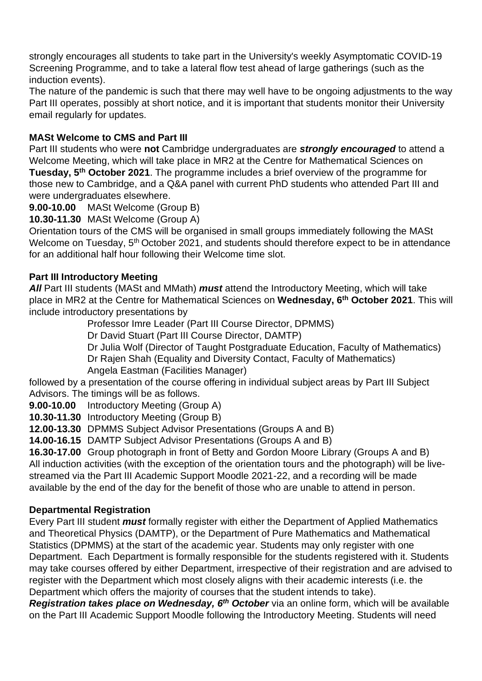strongly encourages all students to take part in the University's weekly Asymptomatic COVID-19 Screening Programme, and to take a lateral flow test ahead of large gatherings (such as the induction events).

The nature of the pandemic is such that there may well have to be ongoing adjustments to the way Part III operates, possibly at short notice, and it is important that students monitor their University email regularly for updates.

# **MASt Welcome to CMS and Part III**

Part III students who were **not** Cambridge undergraduates are *strongly encouraged* to attend a Welcome Meeting, which will take place in MR2 at the Centre for Mathematical Sciences on **Tuesday, 5<sup>th</sup> October 2021**. The programme includes a brief overview of the programme for those new to Cambridge, and a Q&A panel with current PhD students who attended Part III and were undergraduates elsewhere.

**9.00-10.00** MASt Welcome (Group B)

**10.30-11.30** MASt Welcome (Group A)

Orientation tours of the CMS will be organised in small groups immediately following the MASt Welcome on Tuesday, 5<sup>th</sup> October 2021, and students should therefore expect to be in attendance for an additional half hour following their Welcome time slot.

## **Part III Introductory Meeting**

*All* Part III students (MASt and MMath) *must* attend the Introductory Meeting, which will take place in MR2 at the Centre for Mathematical Sciences on **Wednesday, 6 th October 2021**. This will include introductory presentations by

Professor Imre Leader (Part III Course Director, DPMMS)

Dr David Stuart (Part III Course Director, DAMTP)

Dr Julia Wolf (Director of Taught Postgraduate Education, Faculty of Mathematics) Dr Rajen Shah (Equality and Diversity Contact, Faculty of Mathematics)

Angela Eastman (Facilities Manager)

followed by a presentation of the course offering in individual subject areas by Part III Subject Advisors. The timings will be as follows.

**9.00-10.00** Introductory Meeting (Group A)

**10.30-11.30** Introductory Meeting (Group B)

**12.00-13.30** DPMMS Subject Advisor Presentations (Groups A and B)

**14.00-16.15** DAMTP Subject Advisor Presentations (Groups A and B)

**16.30-17.00** Group photograph in front of Betty and Gordon Moore Library (Groups A and B) All induction activities (with the exception of the orientation tours and the photograph) will be livestreamed via the Part III Academic Support Moodle 2021-22, and a recording will be made available by the end of the day for the benefit of those who are unable to attend in person.

# **Departmental Registration**

Every Part III student *must* formally register with either the Department of Applied Mathematics and Theoretical Physics (DAMTP), or the Department of Pure Mathematics and Mathematical Statistics (DPMMS) at the start of the academic year. Students may only register with one Department. Each Department is formally responsible for the students registered with it. Students may take courses offered by either Department, irrespective of their registration and are advised to register with the Department which most closely aligns with their academic interests (i.e. the Department which offers the majority of courses that the student intends to take).

*Registration takes place on Wednesday, 6 th October* via an online form, which will be available on the Part III Academic Support Moodle following the Introductory Meeting. Students will need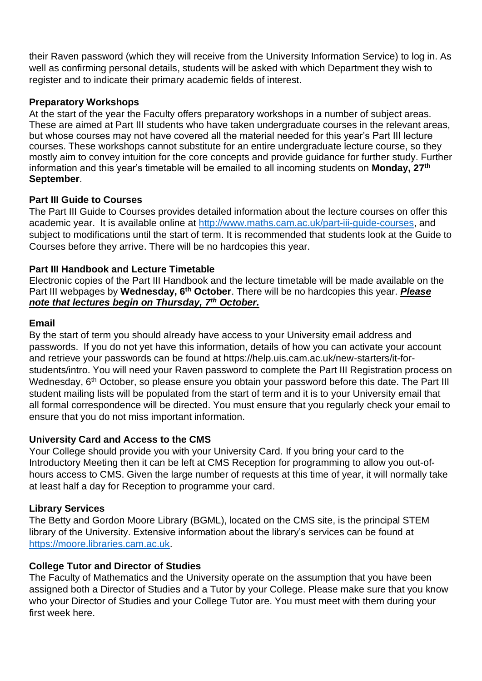their Raven password (which they will receive from the University Information Service) to log in. As well as confirming personal details, students will be asked with which Department they wish to register and to indicate their primary academic fields of interest.

#### **Preparatory Workshops**

At the start of the year the Faculty offers preparatory workshops in a number of subject areas. These are aimed at Part III students who have taken undergraduate courses in the relevant areas, but whose courses may not have covered all the material needed for this year's Part III lecture courses. These workshops cannot substitute for an entire undergraduate lecture course, so they mostly aim to convey intuition for the core concepts and provide guidance for further study. Further information and this year's timetable will be emailed to all incoming students on **Monday, 27 th September**.

#### **Part III Guide to Courses**

The Part III Guide to Courses provides detailed information about the lecture courses on offer this academic year. It is available online at [http://www.maths.cam.ac.uk/part-iii-guide-courses,](http://www.maths.cam.ac.uk/part-iii-guide-courses) and subject to modifications until the start of term. It is recommended that students look at the Guide to Courses before they arrive. There will be no hardcopies this year.

#### **Part III Handbook and Lecture Timetable**

Electronic copies of the Part III Handbook and the lecture timetable will be made available on the Part III webpages by Wednesday, 6<sup>th</sup> October. There will be no hardcopies this year. *Please note that lectures begin on Thursday, 7 th October.*

#### **Email**

By the start of term you should already have access to your University email address and passwords. If you do not yet have this information, details of how you can activate your account and retrieve your passwords can be found at https://help.uis.cam.ac.uk/new-starters/it-forstudents/intro. You will need your Raven password to complete the Part III Registration process on Wednesday, 6<sup>th</sup> October, so please ensure you obtain your password before this date. The Part III student mailing lists will be populated from the start of term and it is to your University email that all formal correspondence will be directed. You must ensure that you regularly check your email to ensure that you do not miss important information.

## **University Card and Access to the CMS**

Your College should provide you with your University Card. If you bring your card to the Introductory Meeting then it can be left at CMS Reception for programming to allow you out-ofhours access to CMS. Given the large number of requests at this time of year, it will normally take at least half a day for Reception to programme your card.

## **Library Services**

The Betty and Gordon Moore Library (BGML), located on the CMS site, is the principal STEM library of the University. Extensive information about the library's services can be found at [https://moore.libraries.cam.ac.uk.](https://moore.libraries.cam.ac.uk/)

#### **College Tutor and Director of Studies**

The Faculty of Mathematics and the University operate on the assumption that you have been assigned both a Director of Studies and a Tutor by your College. Please make sure that you know who your Director of Studies and your College Tutor are. You must meet with them during your first week here.